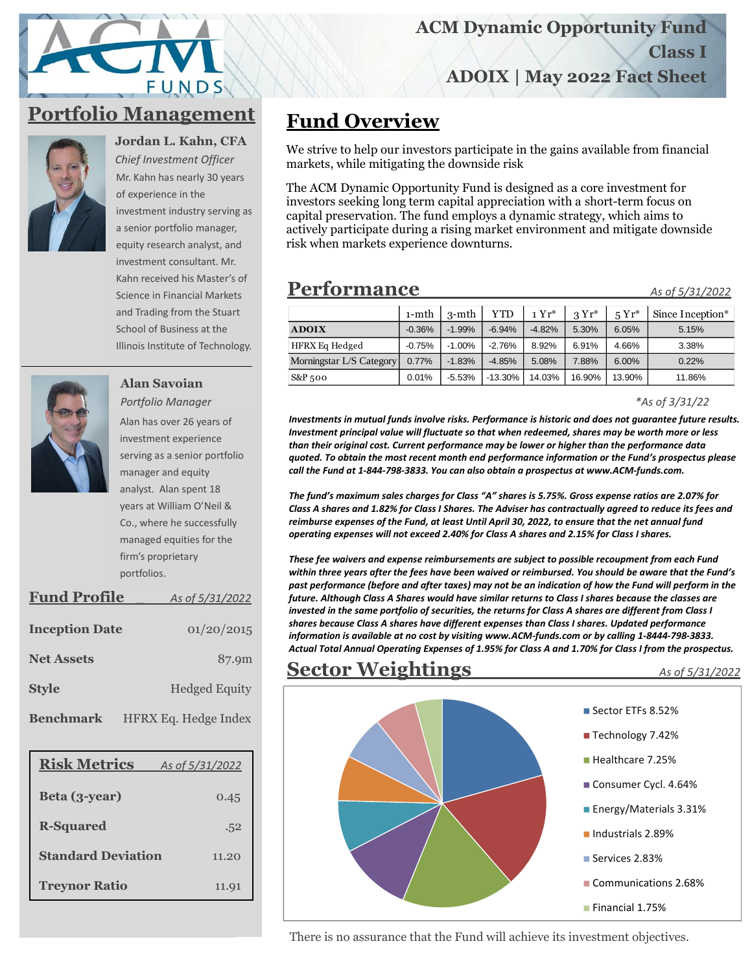# FUNDS

## **Portfolio Management**



**Jordan L. Kahn, CFA** *Chief Investment Officer* 

Mr. Kahn has nearly 30 years of experience in the investment industry serving as a senior portfolio manager, equity research analyst, and investment consultant. Mr. Kahn received his Master's of Science in Financial Markets and Trading from the Stuart School of Business at the Illinois Institute of Technology.



**Alan Savoian** *Portfolio Manager* Alan has over 26 years of investment experience serving as a senior portfolio manager and equity analyst. Alan spent 18 years at William O'Neil & Co., where he successfully managed equities for the firm's proprietary

| <b>Fund Profile</b>   | As of 5/31/2022      |
|-----------------------|----------------------|
| <b>Inception Date</b> | 01/20/2015           |
| <b>Net Assets</b>     | 87.9m                |
| <b>Style</b>          | <b>Hedged Equity</b> |
| <b>Benchmark</b>      | HFRX Eq. Hedge Index |

portfolios.

| <b>Risk Metrics</b>       | As of 5/31/2022 |
|---------------------------|-----------------|
| Beta (3-year)             | 0.45            |
| <b>R-Squared</b>          | .52             |
| <b>Standard Deviation</b> | 11.20           |
| <b>Treynor Ratio</b>      | 11.91           |

# **Fund Overview**

We strive to help our investors participate in the gains available from financial markets, while mitigating the downside risk

The ACM Dynamic Opportunity Fund is designed as a core investment for investors seeking long term capital appreciation with a short-term focus on capital preservation. The fund employs a dynamic strategy, which aims to actively participate during a rising market environment and mitigate downside risk when markets experience downturns.

### **Performance\_\_\_\_\_\_\_\_\_\_\_\_** *As of 5/31/2022*

|                          | $1-$ mth | $3-$ mth | <b>YTD</b> | $1 Yr^*$ | $3Yr^*$ | $5Yr^*$ | Since Inception* |
|--------------------------|----------|----------|------------|----------|---------|---------|------------------|
| <b>ADOIX</b>             | $-0.36%$ | $-1.99%$ | $-6.94%$   | $-4.82%$ | 5.30%   | 6.05%   | 5.15%            |
| <b>HFRX Eq Hedged</b>    | $-0.75%$ | $-1.00%$ | $-2.76%$   | 8.92%    | 6.91%   | 4.66%   | 3.38%            |
| Morningstar L/S Category | 0.77%    | $-1.83%$ | $-4.85%$   | 5.08%    | 7.88%   | 6.00%   | 0.22%            |
| $S\&P_{5}oo$             | $0.01\%$ | $-5.53%$ | $-13.30%$  | 14.03%   | 16.90%  | 13.90%  | 11.86%           |

*\*As of 3/31/22*

*Investments in mutual funds involve risks. Performance is historic and does not guarantee future results. Investment principal value will fluctuate so that when redeemed, shares may be worth more or less than their original cost. Current performance may be lower or higher than the performance data quoted. To obtain the most recent month end performance information or the Fund's prospectus please call the Fund at 1-844-798-3833. You can also obtain a prospectus at www.ACM-funds.com.*

*The fund's maximum sales charges for Class "A" shares is 5.75%. Gross expense ratios are 2.07% for Class A shares and 1.82% for Class I Shares. The Adviser has contractually agreed to reduce its fees and reimburse expenses of the Fund, at least Until April 30, 2022, to ensure that the net annual fund operating expenses will not exceed 2.40% for Class A shares and 2.15% for Class I shares.*

*These fee waivers and expense reimbursements are subject to possible recoupment from each Fund within three years after the fees have been waived or reimbursed. You should be aware that the Fund's past performance (before and after taxes) may not be an indication of how the Fund will perform in the future. Although Class A Shares would have similar returns to Class I shares because the classes are invested in the same portfolio of securities, the returns for Class A shares are different from Class I shares because Class A shares have different expenses than Class I shares. Updated performance information is available at no cost by visiting www.ACM-funds.com or by calling 1-8444-798-3833. Actual Total Annual Operating Expenses of 1.95% for Class A and 1.70% for Class I from the prospectus.*

#### **Sector Weightings** \_ *As of 5/31/2022*



There is no assurance that the Fund will achieve its investment objectives.

#### **ACM Dynamic Opportunity Fund**

**Class I**

**ADOIX | May 2022 Fact Sheet**